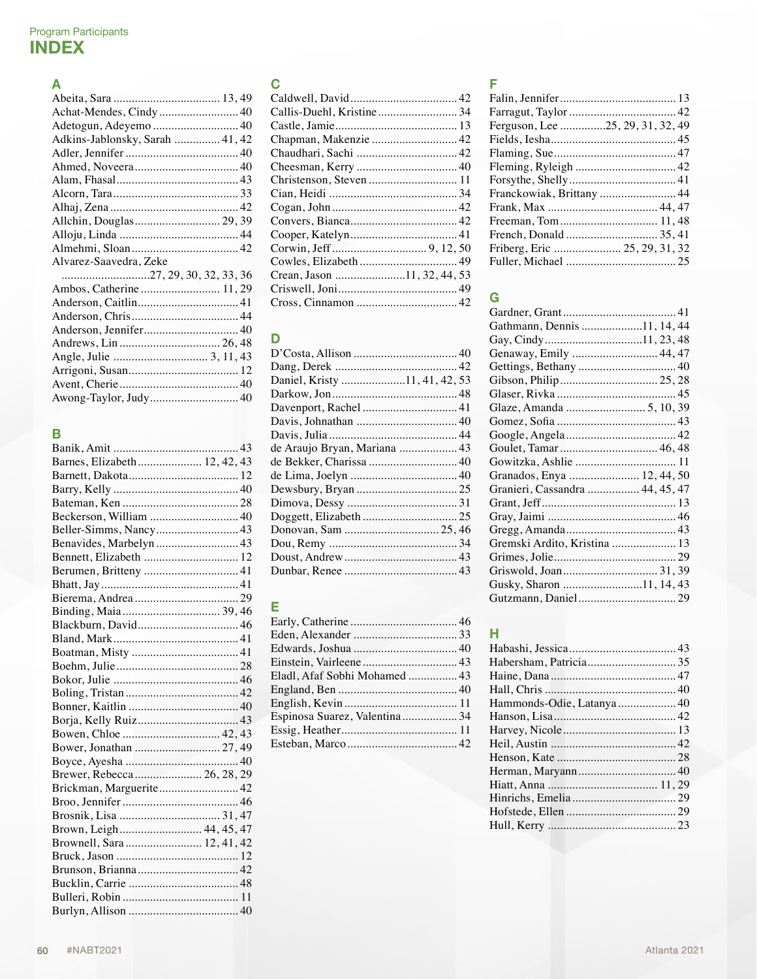# A

| Achat-Mendes, Cindy 40          |
|---------------------------------|
|                                 |
| Adkins-Jablonsky, Sarah  41, 42 |
|                                 |
|                                 |
|                                 |
|                                 |
|                                 |
|                                 |
|                                 |
|                                 |
| Alvarez-Saavedra, Zeke          |
|                                 |
|                                 |
|                                 |
|                                 |
| Anderson, Jennifer 40           |
|                                 |
|                                 |
|                                 |
|                                 |
| Awong-Taylor, Judy 40           |

# B

| Barnes, Elizabeth 12, 42, 43 |
|------------------------------|
|                              |
|                              |
|                              |
| Beckerson, William  40       |
|                              |
| Benavides, Marbelyn  43      |
| Bennett, Elizabeth  12       |
|                              |
|                              |
|                              |
|                              |
|                              |
|                              |
|                              |
|                              |
|                              |
|                              |
|                              |
|                              |
| Bowen, Chloe  42, 43         |
| Bower, Jonathan  27, 49      |
|                              |
| Brewer, Rebecca  26, 28, 29  |
| Brickman, Marguerite 42      |
|                              |
|                              |
| Brown, Leigh 44, 45, 47      |
| Brownell, Sara 12, 41, 42    |
|                              |
|                              |
|                              |
|                              |
|                              |

# C

| Callis-Duehl, Kristine 34   |  |
|-----------------------------|--|
|                             |  |
| Chapman, Makenzie  42       |  |
| Chaudhari, Sachi  42        |  |
|                             |  |
|                             |  |
|                             |  |
|                             |  |
|                             |  |
|                             |  |
|                             |  |
|                             |  |
| Crean, Jason 11, 32, 44, 53 |  |
|                             |  |
|                             |  |
|                             |  |

# D

| Daniel, Kristy 11, 41, 42, 53 |  |
|-------------------------------|--|
|                               |  |
| Davenport, Rachel  41         |  |
|                               |  |
|                               |  |
|                               |  |
|                               |  |
|                               |  |
|                               |  |
|                               |  |
|                               |  |
|                               |  |
|                               |  |
|                               |  |
|                               |  |
|                               |  |

# E

| Eladl, Afaf Sobhi Mohamed  43 |  |
|-------------------------------|--|
|                               |  |
|                               |  |
| Espinosa Suarez, Valentina 34 |  |
|                               |  |
|                               |  |
|                               |  |

# F

| Ferguson, Lee 25, 29, 31, 32, 49 |
|----------------------------------|
|                                  |
|                                  |
|                                  |
|                                  |
| Franckowiak, Brittany  44        |
|                                  |
|                                  |
|                                  |
| Friberg, Eric  25, 29, 31, 32    |
|                                  |
|                                  |

# G

| Gathmann, Dennis 11, 14, 44     |
|---------------------------------|
| Gay, Cindy11, 23, 48            |
| Genaway, Emily  44, 47          |
|                                 |
|                                 |
|                                 |
|                                 |
|                                 |
|                                 |
|                                 |
|                                 |
| Granados, Enya  12, 44, 50      |
| Granieri, Cassandra  44, 45, 47 |
|                                 |
|                                 |
|                                 |
| Gremski Ardito, Kristina  13    |
|                                 |
|                                 |
| Gusky, Sharon 11, 14, 43        |
|                                 |
|                                 |

# H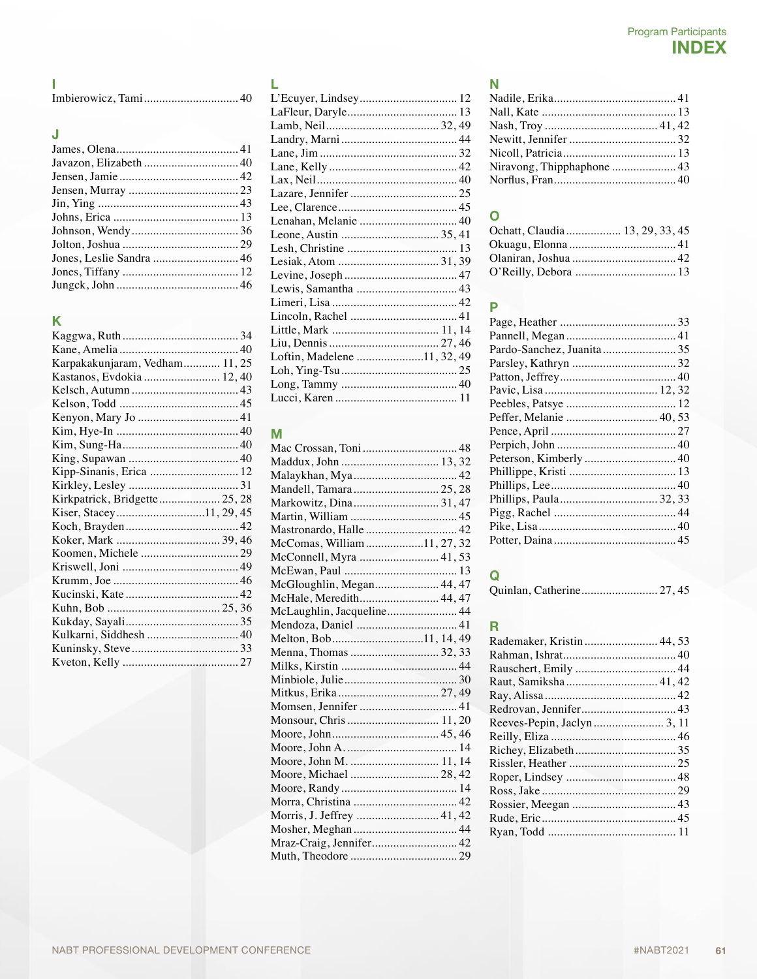#### J

# K

| Karpakakunjaram, Vedham 11, 25 |  |
|--------------------------------|--|
| Kastanos, Evdokia  12, 40      |  |
|                                |  |
|                                |  |
|                                |  |
|                                |  |
|                                |  |
|                                |  |
| Kipp-Sinanis, Erica  12        |  |
|                                |  |
| Kirkpatrick, Bridgette 25, 28  |  |
| Kiser, Stacey11, 29, 45        |  |
|                                |  |
|                                |  |
|                                |  |
|                                |  |
|                                |  |
|                                |  |
|                                |  |
|                                |  |
|                                |  |
|                                |  |
|                                |  |
|                                |  |

| L'Ecuyer, Lindsey 12        |  |
|-----------------------------|--|
|                             |  |
|                             |  |
|                             |  |
|                             |  |
|                             |  |
|                             |  |
|                             |  |
|                             |  |
| Lenahan, Melanie  40        |  |
|                             |  |
|                             |  |
|                             |  |
|                             |  |
|                             |  |
|                             |  |
|                             |  |
|                             |  |
|                             |  |
| Loftin, Madelene 11, 32, 49 |  |
|                             |  |
|                             |  |
|                             |  |
|                             |  |

# M

| Malaykhan, Mya 42          |  |
|----------------------------|--|
| Mandell, Tamara 25, 28     |  |
| Markowitz, Dina 31, 47     |  |
|                            |  |
|                            |  |
| McComas, William11, 27, 32 |  |
|                            |  |
|                            |  |
| McGloughlin, Megan 44, 47  |  |
| McHale, Meredith 44, 47    |  |
| McLaughlin, Jacqueline 44  |  |
|                            |  |
| Melton, Bob11, 14, 49      |  |
|                            |  |
|                            |  |
|                            |  |
|                            |  |
|                            |  |
| Monsour, Chris  11, 20     |  |
|                            |  |
|                            |  |
| Moore, John M.  11, 14     |  |
|                            |  |
|                            |  |
|                            |  |
| Morris, J. Jeffrey  41, 42 |  |
|                            |  |
| Mraz-Craig, Jennifer 42    |  |
|                            |  |
|                            |  |

### N

| Niravong, Thipphaphone  43 |  |
|----------------------------|--|
|                            |  |
|                            |  |

# O

| Ochatt, Claudia  13, 29, 33, 45 |  |
|---------------------------------|--|
|                                 |  |
|                                 |  |
|                                 |  |

# P

| Peffer, Melanie  40, 53 |  |
|-------------------------|--|
|                         |  |
|                         |  |
|                         |  |
|                         |  |
|                         |  |
| Phillips, Paula 32, 33  |  |
|                         |  |
|                         |  |
|                         |  |
|                         |  |

# Q<br>Qt

| Quinlan, Catherine 27, 45 |  |  |
|---------------------------|--|--|
|---------------------------|--|--|

# R

| Rademaker, Kristin  44, 53 |  |
|----------------------------|--|
|                            |  |
|                            |  |
|                            |  |
|                            |  |
|                            |  |
|                            |  |
|                            |  |
|                            |  |
|                            |  |
|                            |  |
|                            |  |
|                            |  |
|                            |  |
|                            |  |
|                            |  |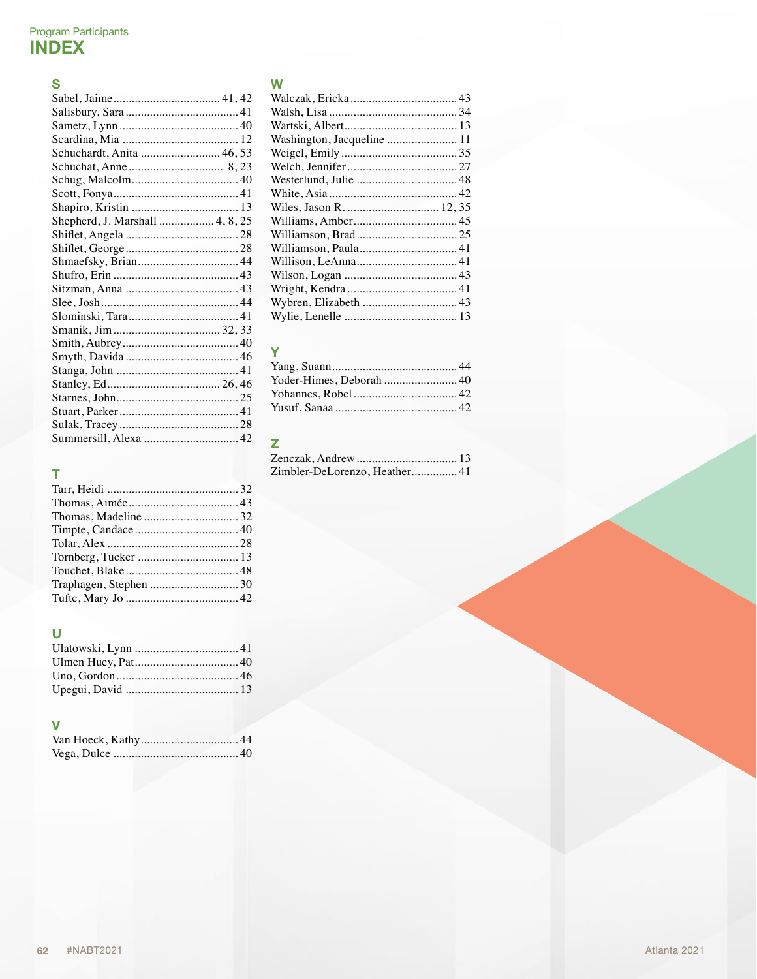# $\mathbf{s}$

| Schuchardt, Anita  46, 53       |
|---------------------------------|
|                                 |
|                                 |
|                                 |
|                                 |
| Shepherd, J. Marshall  4, 8, 25 |
|                                 |
|                                 |
|                                 |
|                                 |
|                                 |
|                                 |
|                                 |
|                                 |
|                                 |
|                                 |
|                                 |
|                                 |
|                                 |
|                                 |
|                                 |
| Summersill, Alexa  42           |

# $\bar{\rm T}$

# $\overline{\mathsf{U}}$

#### V

# W

| Washington, Jacqueline  11 |  |
|----------------------------|--|
|                            |  |
|                            |  |
|                            |  |
|                            |  |
|                            |  |
|                            |  |
|                            |  |
|                            |  |
|                            |  |
|                            |  |
|                            |  |
| Wybren, Elizabeth  43      |  |
|                            |  |

# Y

# $\overline{z}$

| Zimbler-DeLorenzo, Heather41 |  |
|------------------------------|--|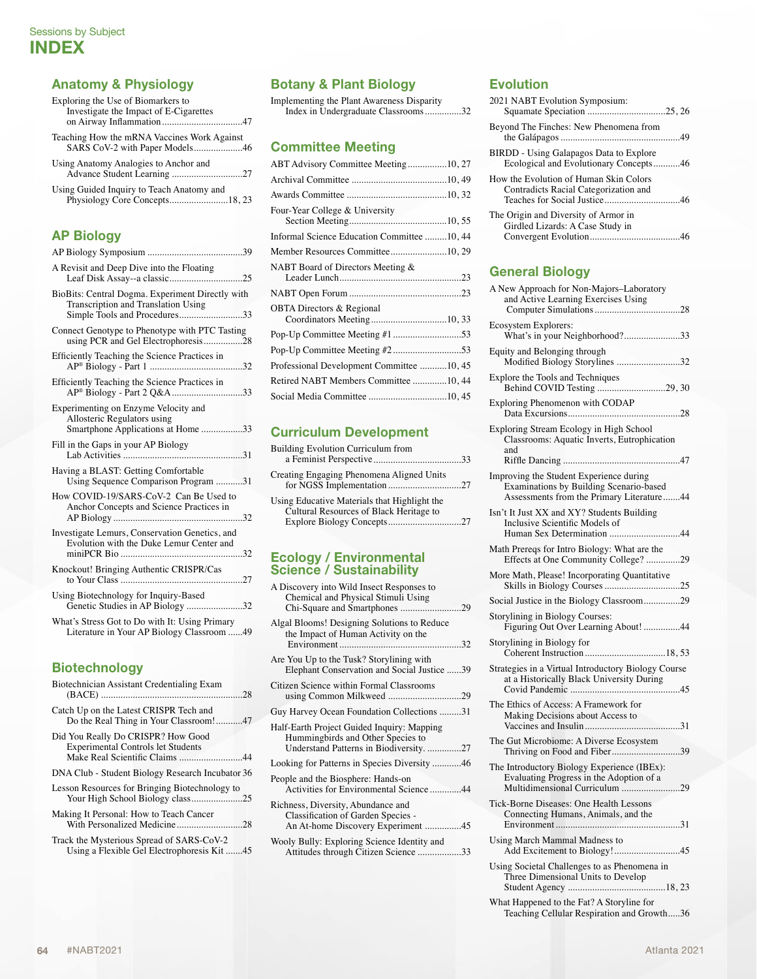#### Anatomy & Physiology

Exploring the Use of Biomarkers to Investigate the Impact of E-Cigarettes on Airway Inflammation.................................47

Teaching How the mRNA Vaccines Work Against SARS CoV-2 with Paper Models....................46

| Using Anatomy Analogies to Anchor and |  |
|---------------------------------------|--|
|                                       |  |

Using Guided Inquiry to Teach Anatomy and Physiology Core Concepts........................18, 23

#### AP Biology

| A Revisit and Deep Dive into the Floating                                                                                |
|--------------------------------------------------------------------------------------------------------------------------|
| BioBits: Central Dogma. Experiment Directly with<br>Transcription and Translation Using<br>Simple Tools and Procedures33 |
| Connect Genotype to Phenotype with PTC Tasting<br>using PCR and Gel Electrophoresis28                                    |
| Efficiently Teaching the Science Practices in                                                                            |
| Efficiently Teaching the Science Practices in<br>AP <sup>®</sup> Biology - Part 2 Q&A33                                  |
| Experimenting on Enzyme Velocity and<br>Allosteric Regulators using<br>Smartphone Applications at Home 33                |
| Fill in the Gaps in your AP Biology                                                                                      |
| Having a BLAST: Getting Comfortable<br>Using Sequence Comparison Program 31                                              |
| How COVID-19/SARS-CoV-2 Can Be Used to<br>Anchor Concepts and Science Practices in                                       |
| Investigate Lemurs, Conservation Genetics, and<br>Evolution with the Duke Lemur Center and                               |
| Knockout! Bringing Authentic CRISPR/Cas                                                                                  |
| Using Biotechnology for Inquiry-Based<br>Genetic Studies in AP Biology 32                                                |
| What's Stress Got to Do with It: Using Primary<br>Literature in Your AP Biology Classroom 49                             |
|                                                                                                                          |

#### Biotechnology

| Biotechnician Assistant Credentialing Exam                                              |  |
|-----------------------------------------------------------------------------------------|--|
| Catch Up on the Latest CRISPR Tech and<br>Do the Real Thing in Your Classroom!47        |  |
| Did You Really Do CRISPR? How Good<br><b>Experimental Controls let Students</b>         |  |
| DNA Club - Student Biology Research Incubator 36                                        |  |
| Lesson Resources for Bringing Biotechnology to<br>Your High School Biology class25      |  |
| Making It Personal: How to Teach Cancer                                                 |  |
| Track the Mysterious Spread of SARS-CoV-2<br>Using a Flexible Gel Electrophoresis Kit45 |  |
|                                                                                         |  |

#### Botany & Plant Biology

Implementing the Plant Awareness Disparity Index in Undergraduate Classrooms...............32

#### Committee Meeting

| ABT Advisory Committee Meeting10, 27                               |  |
|--------------------------------------------------------------------|--|
|                                                                    |  |
|                                                                    |  |
| Four-Year College & University                                     |  |
| Informal Science Education Committee 10, 44                        |  |
| Member Resources Committee10, 29                                   |  |
| NABT Board of Directors Meeting &                                  |  |
|                                                                    |  |
| <b>OBTA Directors &amp; Regional</b><br>Coordinators Meeting10, 33 |  |
|                                                                    |  |
|                                                                    |  |
| Professional Development Committee 10, 45                          |  |
| Retired NABT Members Committee 10, 44                              |  |
| Social Media Committee 10, 45                                      |  |
|                                                                    |  |

#### Curriculum Development

| <b>Building Evolution Curriculum from</b>                                               |  |
|-----------------------------------------------------------------------------------------|--|
| Creating Engaging Phenomena Aligned Units                                               |  |
| Using Educative Materials that Highlight the<br>Cultural Resources of Black Heritage to |  |
|                                                                                         |  |

#### Ecology / Environmental Science / Sustainability

| A Discovery into Wild Insect Responses to<br>Chemical and Physical Stimuli Using                                           |  |
|----------------------------------------------------------------------------------------------------------------------------|--|
| Algal Blooms! Designing Solutions to Reduce<br>the Impact of Human Activity on the                                         |  |
| Are You Up to the Tusk? Storylining with<br>Elephant Conservation and Social Justice 39                                    |  |
| Citizen Science within Formal Classrooms                                                                                   |  |
| Guy Harvey Ocean Foundation Collections 31                                                                                 |  |
| Half-Earth Project Guided Inquiry: Mapping<br>Hummingbirds and Other Species to<br>Understand Patterns in Biodiversity. 27 |  |
| Looking for Patterns in Species Diversity 46                                                                               |  |
| People and the Biosphere: Hands-on<br>Activities for Environmental Science44                                               |  |
| Richness, Diversity, Abundance and<br>Classification of Garden Species -<br>An At-home Discovery Experiment 45             |  |
| Wooly Bully: Exploring Science Identity and<br>Attitudes through Citizen Science 33                                        |  |
|                                                                                                                            |  |

### **Evolution**

| 2021 NABT Evolution Symposium:                                                    |  |
|-----------------------------------------------------------------------------------|--|
| Beyond The Finches: New Phenomena from                                            |  |
| BIRDD - Using Galapagos Data to Explore<br>Ecological and Evolutionary Concepts46 |  |
| How the Evolution of Human Skin Colors<br>Contradicts Racial Categorization and   |  |
| The Origin and Diversity of Armor in<br>Girdled Lizards: A Case Study in          |  |

#### General Biology

| A New Approach for Non-Majors-Laboratory<br>and Active Learning Exercises Using                                                 |
|---------------------------------------------------------------------------------------------------------------------------------|
| Ecosystem Explorers:<br>What's in your Neighborhood?33                                                                          |
| Equity and Belonging through<br>Modified Biology Storylines 32                                                                  |
| Explore the Tools and Techniques<br>Behind COVID Testing 29, 30                                                                 |
| Exploring Phenomenon with CODAP                                                                                                 |
| Exploring Stream Ecology in High School<br>Classrooms: Aquatic Inverts, Eutrophication<br>and                                   |
| Improving the Student Experience during<br>Examinations by Building Scenario-based<br>Assessments from the Primary Literature44 |
| Isn't It Just XX and XY? Students Building<br>Inclusive Scientific Models of<br>Human Sex Determination 44                      |
| Math Prereqs for Intro Biology: What are the<br>Effects at One Community College?29                                             |
| More Math, Please! Incorporating Quantitative                                                                                   |
| Social Justice in the Biology Classroom29                                                                                       |
| Storylining in Biology Courses:<br>Figuring Out Over Learning About! 44                                                         |
| Storylining in Biology for                                                                                                      |
| Strategies in a Virtual Introductory Biology Course<br>at a Historically Black University During                                |
| The Ethics of Access: A Framework for<br>Making Decisions about Access to                                                       |
| The Gut Microbiome: A Diverse Ecosystem<br>Thriving on Food and Fiber39                                                         |
| The Introductory Biology Experience (IBEx):<br>Evaluating Progress in the Adoption of a<br>Multidimensional Curriculum 29       |
| Tick-Borne Diseases: One Health Lessons<br>Connecting Humans, Animals, and the                                                  |
| Using March Mammal Madness to<br>Add Excitement to Biology!45                                                                   |
| Using Societal Challenges to as Phenomena in<br>Three Dimensional Units to Develop                                              |

What Happened to the Fat? A Storyline for Teaching Cellular Respiration and Growth.....36